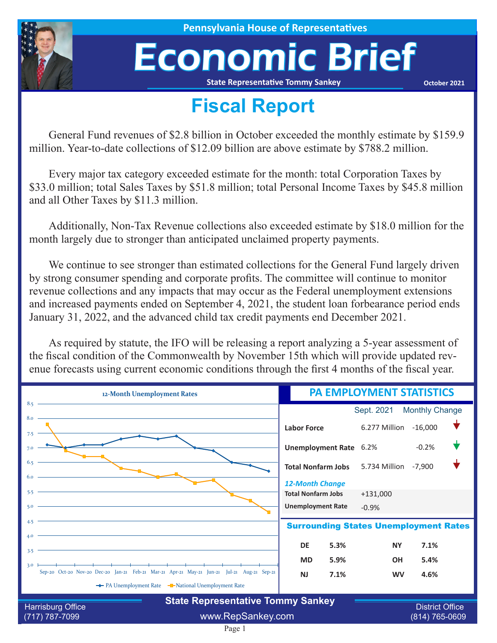

**House of Representatives** 

# Economic Brief

**State Representative Tommy Sankey**

**October 2021**

### **Fiscal Report**

General Fund revenues of \$2.8 billion in October exceeded the monthly estimate by \$159.9 million. Year-to-date collections of \$12.09 billion are above estimate by \$788.2 million.

Every major tax category exceeded estimate for the month: total Corporation Taxes by \$33.0 million; total Sales Taxes by \$51.8 million; total Personal Income Taxes by \$45.8 million and all Other Taxes by \$11.3 million.

Additionally, Non-Tax Revenue collections also exceeded estimate by \$18.0 million for the month largely due to stronger than anticipated unclaimed property payments.

We continue to see stronger than estimated collections for the General Fund largely driven by strong consumer spending and corporate profits. The committee will continue to monitor revenue collections and any impacts that may occur as the Federal unemployment extensions and increased payments ended on September 4, 2021, the student loan forbearance period ends January 31, 2022, and the advanced child tax credit payments end December 2021.

As required by statute, the IFO will be releasing a report analyzing a 5-year assessment of the fiscal condition of the Commonwealth by November 15th which will provide updated revenue forecasts using current economic conditions through the first 4 months of the fiscal year.

| 12-Month Unemployment Rates                                                                             | <b>PA EMPLOYMENT STATISTICS</b> |                       |                                              |  |  |
|---------------------------------------------------------------------------------------------------------|---------------------------------|-----------------------|----------------------------------------------|--|--|
| 8.5                                                                                                     |                                 | Sept. 2021            | <b>Monthly Change</b>                        |  |  |
| 8.0<br>7.5                                                                                              | <b>Labor Force</b>              | 6.277 Million -16,000 |                                              |  |  |
| 7.0                                                                                                     | Unemployment Rate 6.2%          |                       | $-0.2%$                                      |  |  |
|                                                                                                         | <b>Total Nonfarm Jobs</b>       | 5.734 Million         | $-7,900$                                     |  |  |
|                                                                                                         | <b>12-Month Change</b>          |                       |                                              |  |  |
| 5.5                                                                                                     | <b>Total Nonfarm Jobs</b>       | $+131,000$            |                                              |  |  |
| 5.0                                                                                                     | <b>Unemployment Rate</b>        | $-0.9%$               |                                              |  |  |
| 4.5<br><b>Surrounding States Unemployment Rates</b>                                                     |                                 |                       |                                              |  |  |
| 4.0<br>the control of the control of the control of the control of the control of the control of<br>3.5 | 5.3%<br><b>DE</b>               | <b>NY</b>             | 7.1%                                         |  |  |
|                                                                                                         | 5.9%<br><b>MD</b>               | <b>OH</b>             | 5.4%                                         |  |  |
| 3.0<br>Sep-20 Oct-20 Nov-20 Dec-20 Jan-21 Feb-21 Mar-21 Apr-21 May-21 Jun-21 Jul-21 Aug-21 Sep-21       | 7.1%<br><b>NJ</b>               | <b>WV</b>             | 4.6%                                         |  |  |
| The PA Unemployment Rate The National Unemployment Rate                                                 |                                 |                       |                                              |  |  |
| <b>State Representative Tommy Sankey</b>                                                                |                                 |                       |                                              |  |  |
| Harrisburg Office<br>$(717) 787 - 7099$                                                                 | www.RepSankey.com               |                       | <b>District Office</b><br>$(814) 765 - 0609$ |  |  |

### Page 1